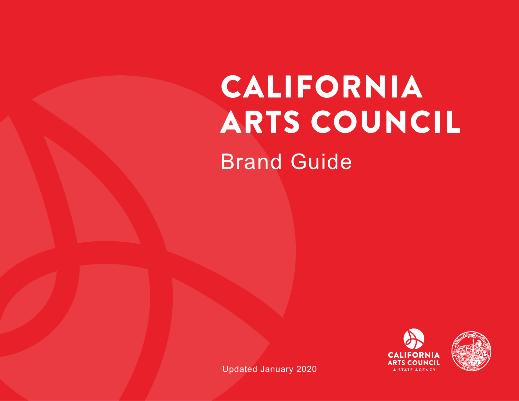# CALIFORNIA ARTS COUNCIL Brand Guide





Updated January 2020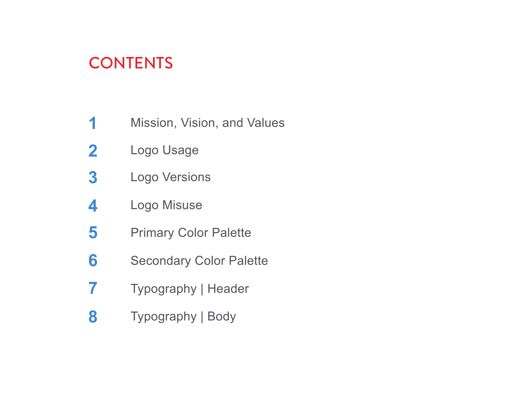# **CONTENTS**

- Mission, Vision, and Values **1**
- Logo Usage **2**
- Logo Versions **3**
- Logo Misuse **4**
- Primary Color Palette **5**
- Secondary Color Palette **6**
- Typography | Header **7**
- Typography | Body **8**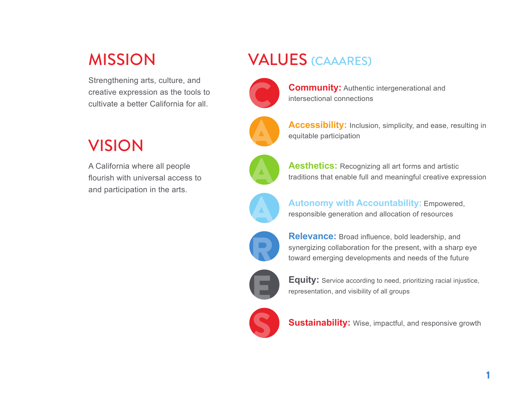# MISSION

Strengthening arts, culture, and creative expression as the tools to cultivate a better California for all.

# VALUES (CAAARES)



**Community: Authentic intergenerational and** intersectional connections



**Accessibility:** Inclusion, simplicity, and ease, resulting in equitable participation



A California where all people flourish with universal access to and participation in the arts.



Aesthetics: Recognizing all art forms and artistic traditions that enable full and meaningful creative expression



**Autonomy with Accountability: Empowered,** responsible generation and allocation of resources



**Relevance:** Broad influence, bold leadership, and synergizing collaboration for the present, with a sharp toward emerging developments and needs of the futu synergizing collaboration for the present, with a sharp eye toward emerging developments and needs of the future



**Equity:** Service according to need, prioritizing racial injustice, representation, and visibility of all groups



**Sustainability:** Wise, impactful, and responsive growth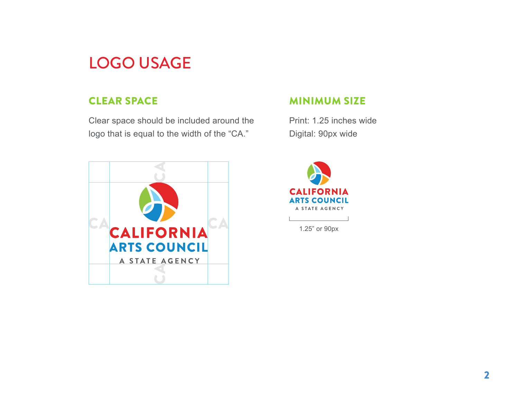# LOGO USAGE

### CLEAR SPACE

Clear space should be included around the logo that is equal to the width of the "CA."



#### MINIMUM SIZE

Print: 1.25 inches wide Digital: 90px wide



1.25" or 90px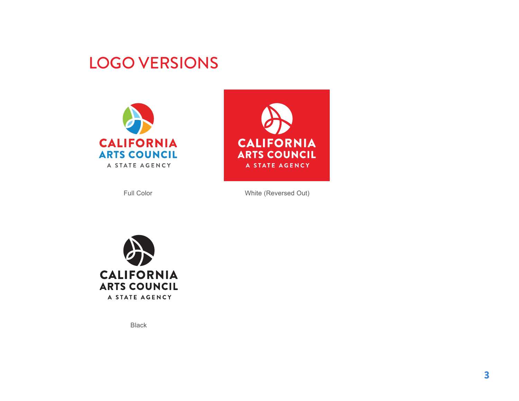### LOGO VERSIONS





Full Color White (Reversed Out)



Black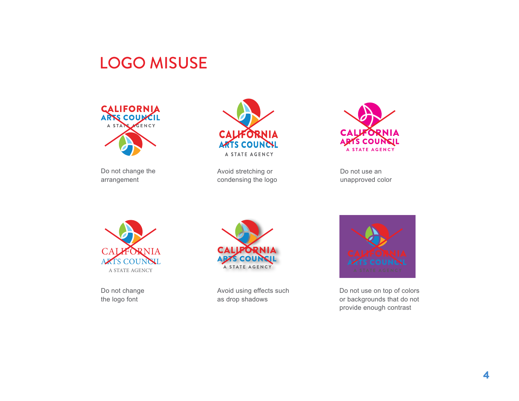## LOGO MISUSE



Do not change the arrangement



Avoid stretching or condensing the logo



Do not use an unapproved color



Do not change the logo font



Avoid using effects such as drop shadows



Do not use on top of colors or backgrounds that do not provide enough contrast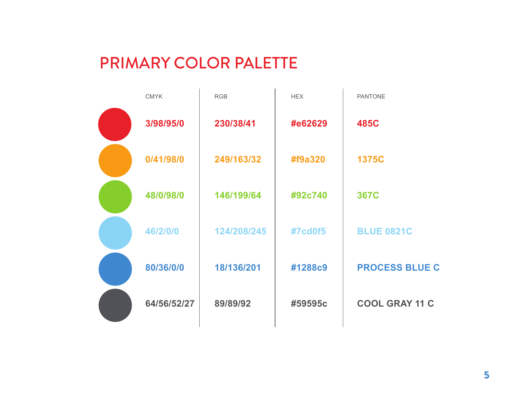# PRIMARY COLOR PALETTE

| <b>CMYK</b> | <b>RGB</b>  | <b>HEX</b> | <b>PANTONE</b>        |
|-------------|-------------|------------|-----------------------|
| 3/98/95/0   | 230/38/41   | #e62629    | <b>485C</b>           |
| 0/41/98/0   | 249/163/32  | #f9a320    | <b>1375C</b>          |
| 48/0/98/0   | 146/199/64  | #92c740    | <b>367C</b>           |
| 46/2/0/0    | 124/208/245 | #7cd0f5    | <b>BLUE 0821C</b>     |
| 80/36/0/0   | 18/136/201  | #1288c9    | <b>PROCESS BLUE C</b> |
| 64/56/52/27 | 89/89/92    | #59595c    | <b>COOL GRAY 11 C</b> |
|             |             |            |                       |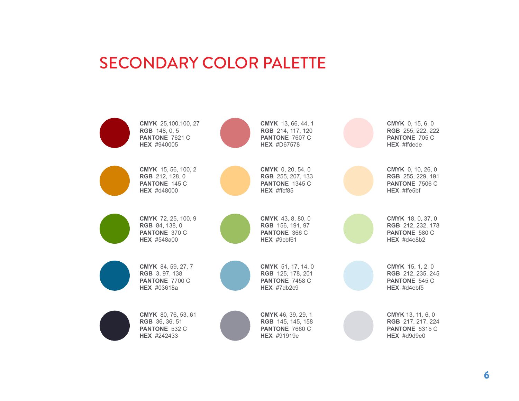### SECONDARY COLOR PALETTE

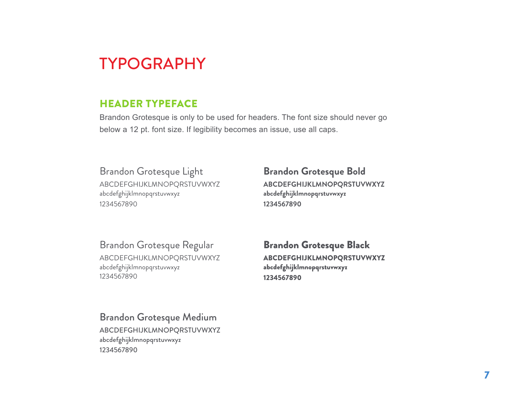## TYPOGRAPHY

### HEADER TYPEFACE

Brandon Grotesque is only to be used for headers. The font size should never go below a 12 pt. font size. If legibility becomes an issue, use all caps.

Brandon Grotesque Light ABCDEFGHIJKLMNOPQRSTUVWXYZ abcdefghijklmnopqrstuvwxyz 1234567890

**Brandon Grotesque Bold ABCDEFGHIJKLMNOPQRSTUVWXYZ abcdefghijklmnopqrstuvwxyz 1234567890**

Brandon Grotesque Regular ABCDEFGHIJKLMNOPQRSTUVWXYZ abcdefghijklmnopqrstuvwxyz 1234567890

Brandon Grotesque Black ABCDEFGHIJKLMNOPQRSTUVWXYZ abcdefghijklmnopqrstuvwxyz 1234567890

Brandon Grotesque Medium ABCDEFGHIJKLMNOPQRSTUVWXYZ abcdefghijklmnopqrstuvwxyz

1234567890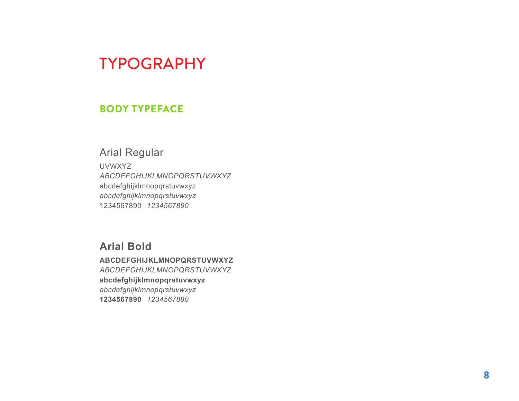### TYPOGRAPHY

#### BODY TYPEFACE

### Arial Regular

UVWXYZ *ABCDEFGHIJKLMNOPQRSTUVWXYZ* abcdefghijklmnopqrstuvwxyz *abcdefghijklmnopqrstuvwxyz* 1234567890 *1234567890*

#### **Arial Bold**

**ABCDEFGHIJKLMNOPQRSTUVWXYZ** *ABCDEFGHIJKLMNOPQRSTUVWXYZ* **abcdefghijklmnopqrstuvwxyz** *abcdefghijklmnopqrstuvwxyz* **1234567890** *1234567890*